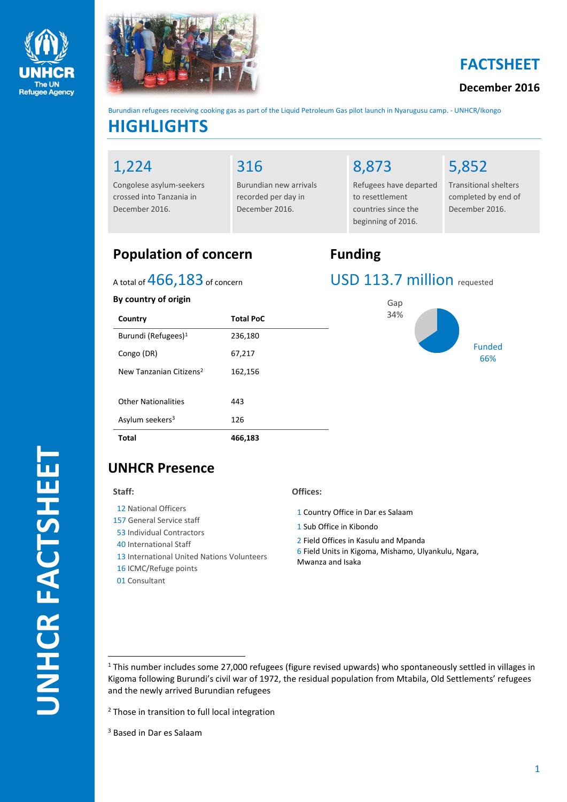



# **FACTSHEET**

### **December 2016**

**HIGHLIGHTS** Burundian refugees receiving cooking gas as part of the Liquid Petroleum Gas pilot launch in Nyarugusu camp. - UNHCR/Ikongo

### 1,224

Congolese asylum-seekers crossed into Tanzania in December 2016.

## 316

Burundian new arrivals recorded per day in December 2016.

# 8,873

Refugees have departed to resettlement countries since the beginning of 2016.

# 5,852

Transitional shelters completed by end of December 2016.

# **Population of concern Funding**

### A total of  $466,183$  of concern

#### **By country of origin**

| Country                             | <b>Total PoC</b> |
|-------------------------------------|------------------|
| Burundi (Refugees) <sup>1</sup>     | 236,180          |
| Congo (DR)                          | 67,217           |
| New Tanzanian Citizens <sup>2</sup> | 162,156          |
| Other Nationalities                 | 443              |
| Asylum seekers <sup>3</sup>         | 126              |
| Total                               | 466,183          |

# USD 113.7 million requested



# **UNHCR Presence**

#### **Staff:**

 $\overline{a}$ 

- 12 National Officers
- 157 General Service staff
- 53 Individual Contractors
- 40 International Staff
- 13 International United Nations Volunteers
- 16 ICMC/Refuge points
- 01 Consultant

#### **Offices:**

- 1 Country Office in Dar es Salaam
- 1 Sub Office in Kibondo
- 2 Field Offices in Kasulu and Mpanda
- 6 Field Units in Kigoma, Mishamo, Ulyankulu, Ngara, Mwanza and Isaka

<sup>2</sup> Those in transition to full local integration

<sup>3</sup> Based in Dar es Salaam

 $1$  This number includes some 27,000 refugees (figure revised upwards) who spontaneously settled in villages in Kigoma following Burundi's civil war of 1972, the residual population from Mtabila, Old Settlements' refugees and the newly arrived Burundian refugees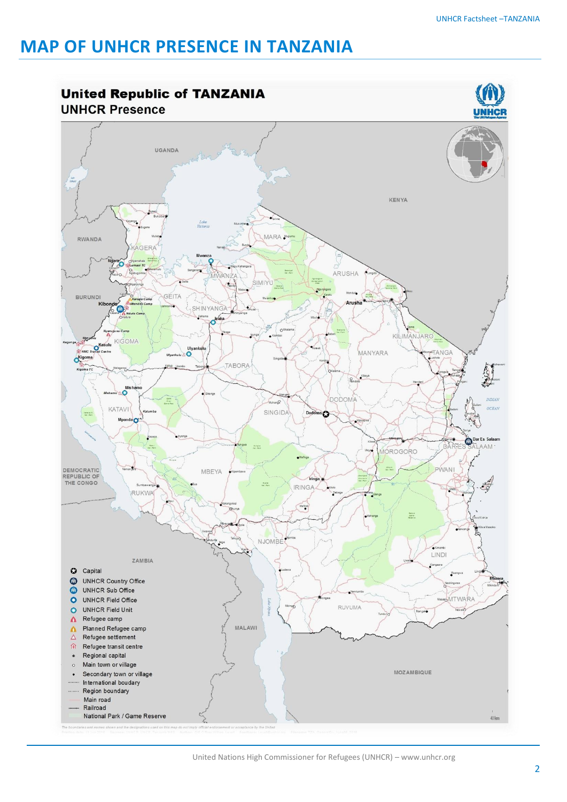# **MAP OF UNHCR PRESENCE IN TANZANIA**

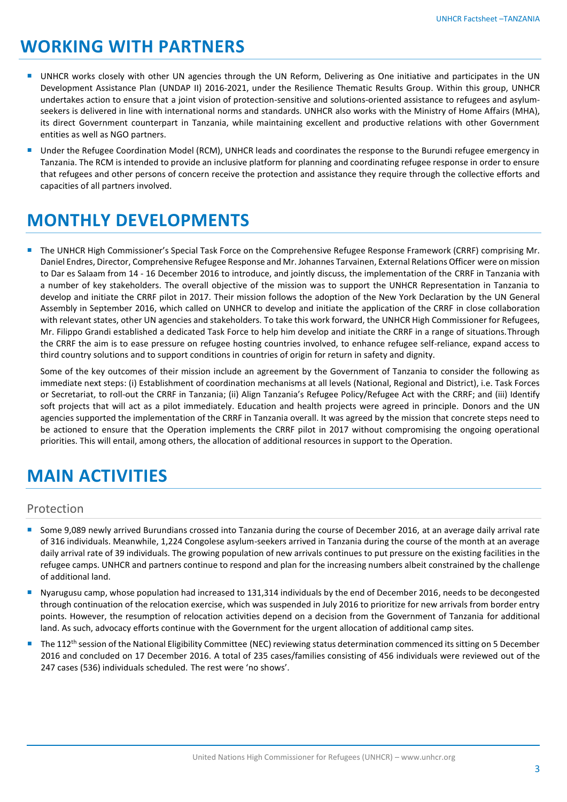# **WORKING WITH PARTNERS**

- UNHCR works closely with other UN agencies through the UN Reform, Delivering as One initiative and participates in the UN Development Assistance Plan (UNDAP II) 2016-2021, under the Resilience Thematic Results Group. Within this group, UNHCR undertakes action to ensure that a joint vision of protection-sensitive and solutions-oriented assistance to refugees and asylumseekers is delivered in line with international norms and standards. UNHCR also works with the Ministry of Home Affairs (MHA), its direct Government counterpart in Tanzania, while maintaining excellent and productive relations with other Government entities as well as NGO partners.
- Under the Refugee Coordination Model (RCM), UNHCR leads and coordinates the response to the Burundi refugee emergency in Tanzania. The RCM is intended to provide an inclusive platform for planning and coordinating refugee response in order to ensure that refugees and other persons of concern receive the protection and assistance they require through the collective efforts and capacities of all partners involved.

# **MONTHLY DEVELOPMENTS**

 The UNHCR High Commissioner's Special Task Force on the Comprehensive Refugee Response Framework (CRRF) comprising Mr. Daniel Endres, Director, Comprehensive Refugee Response and Mr. Johannes Tarvainen, External Relations Officer were on mission to Dar es Salaam from 14 - 16 December 2016 to introduce, and jointly discuss, the implementation of the CRRF in Tanzania with a number of key stakeholders. The overall objective of the mission was to support the UNHCR Representation in Tanzania to develop and initiate the CRRF pilot in 2017. Their mission follows the adoption of the New York Declaration by the UN General Assembly in September 2016, which called on UNHCR to develop and initiate the application of the CRRF in close collaboration with relevant states, other UN agencies and stakeholders. To take this work forward, the UNHCR High Commissioner for Refugees, Mr. Filippo Grandi established a dedicated Task Force to help him develop and initiate the CRRF in a range of situations.Through the CRRF the aim is to ease pressure on refugee hosting countries involved, to enhance refugee self-reliance, expand access to third country solutions and to support conditions in countries of origin for return in safety and dignity.

Some of the key outcomes of their mission include an agreement by the Government of Tanzania to consider the following as immediate next steps: (i) Establishment of coordination mechanisms at all levels (National, Regional and District), i.e. Task Forces or Secretariat, to roll-out the CRRF in Tanzania; (ii) Align Tanzania's Refugee Policy/Refugee Act with the CRRF; and (iii) Identify soft projects that will act as a pilot immediately. Education and health projects were agreed in principle. Donors and the UN agencies supported the implementation of the CRRF in Tanzania overall. It was agreed by the mission that concrete steps need to be actioned to ensure that the Operation implements the CRRF pilot in 2017 without compromising the ongoing operational priorities. This will entail, among others, the allocation of additional resources in support to the Operation.

# **MAIN ACTIVITIES**

#### Protection

- Some 9,089 newly arrived Burundians crossed into Tanzania during the course of December 2016, at an average daily arrival rate of 316 individuals. Meanwhile, 1,224 Congolese asylum-seekers arrived in Tanzania during the course of the month at an average daily arrival rate of 39 individuals. The growing population of new arrivals continues to put pressure on the existing facilities in the refugee camps. UNHCR and partners continue to respond and plan for the increasing numbers albeit constrained by the challenge of additional land.
- Nyarugusu camp, whose population had increased to 131,314 individuals by the end of December 2016, needs to be decongested through continuation of the relocation exercise, which was suspended in July 2016 to prioritize for new arrivals from border entry points. However, the resumption of relocation activities depend on a decision from the Government of Tanzania for additional land. As such, advocacy efforts continue with the Government for the urgent allocation of additional camp sites.
- The 112<sup>th</sup> session of the National Eligibility Committee (NEC) reviewing status determination commenced its sitting on 5 December 2016 and concluded on 17 December 2016. A total of 235 cases/families consisting of 456 individuals were reviewed out of the 247 cases (536) individuals scheduled. The rest were 'no shows'.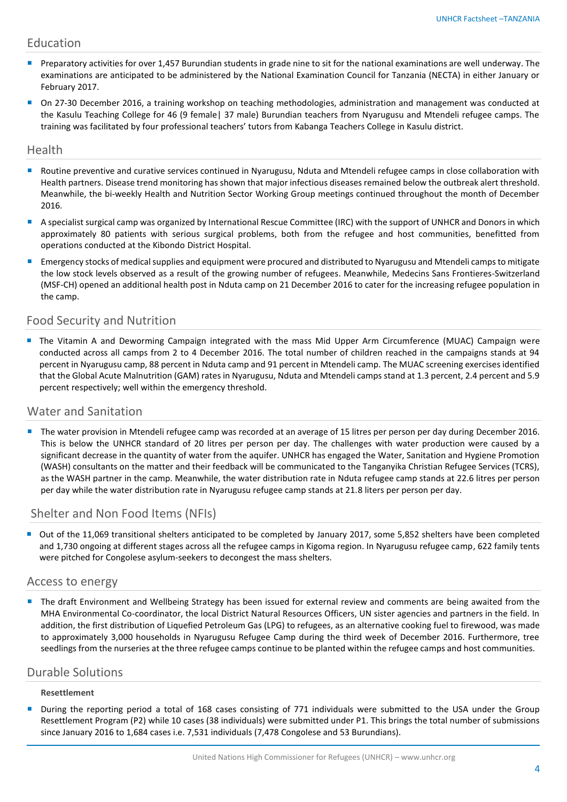#### Education

- **Preparatory activities for over 1,457 Burundian students in grade nine to sit for the national examinations are well underway. The** examinations are anticipated to be administered by the National Examination Council for Tanzania (NECTA) in either January or February 2017.
- On 27-30 December 2016, a training workshop on teaching methodologies, administration and management was conducted at the Kasulu Teaching College for 46 (9 female| 37 male) Burundian teachers from Nyarugusu and Mtendeli refugee camps. The training was facilitated by four professional teachers' tutors from Kabanga Teachers College in Kasulu district.

#### Health

- Routine preventive and curative services continued in Nyarugusu, Nduta and Mtendeli refugee camps in close collaboration with Health partners. Disease trend monitoring has shown that major infectious diseases remained below the outbreak alert threshold. Meanwhile, the bi-weekly Health and Nutrition Sector Working Group meetings continued throughout the month of December 2016.
- A specialist surgical camp was organized by International Rescue Committee (IRC) with the support of UNHCR and Donors in which approximately 80 patients with serious surgical problems, both from the refugee and host communities, benefitted from operations conducted at the Kibondo District Hospital.
- **Emergency stocks of medical supplies and equipment were procured and distributed to Nyarugusu and Mtendeli camps to mitigate** the low stock levels observed as a result of the growing number of refugees. Meanwhile, Medecins Sans Frontieres-Switzerland (MSF-CH) opened an additional health post in Nduta camp on 21 December 2016 to cater for the increasing refugee population in the camp.

### Food Security and Nutrition

 The Vitamin A and Deworming Campaign integrated with the mass Mid Upper Arm Circumference (MUAC) Campaign were conducted across all camps from 2 to 4 December 2016. The total number of children reached in the campaigns stands at 94 percent in Nyarugusu camp, 88 percent in Nduta camp and 91 percent in Mtendeli camp. The MUAC screening exercises identified that the Global Acute Malnutrition (GAM) rates in Nyarugusu, Nduta and Mtendeli camps stand at 1.3 percent, 2.4 percent and 5.9 percent respectively; well within the emergency threshold.

#### Water and Sanitation

The water provision in Mtendeli refugee camp was recorded at an average of 15 litres per person per day during December 2016. This is below the UNHCR standard of 20 litres per person per day. The challenges with water production were caused by a significant decrease in the quantity of water from the aquifer. UNHCR has engaged the Water, Sanitation and Hygiene Promotion (WASH) consultants on the matter and their feedback will be communicated to the Tanganyika Christian Refugee Services (TCRS), as the WASH partner in the camp. Meanwhile, the water distribution rate in Nduta refugee camp stands at 22.6 litres per person per day while the water distribution rate in Nyarugusu refugee camp stands at 21.8 liters per person per day.

### Shelter and Non Food Items (NFIs)

 Out of the 11,069 transitional shelters anticipated to be completed by January 2017, some 5,852 shelters have been completed and 1,730 ongoing at different stages across all the refugee camps in Kigoma region. In Nyarugusu refugee camp, 622 family tents were pitched for Congolese asylum-seekers to decongest the mass shelters.

#### Access to energy

 The draft Environment and Wellbeing Strategy has been issued for external review and comments are being awaited from the MHA Environmental Co-coordinator, the local District Natural Resources Officers, UN sister agencies and partners in the field. In addition, the first distribution of Liquefied Petroleum Gas (LPG) to refugees, as an alternative cooking fuel to firewood, was made to approximately 3,000 households in Nyarugusu Refugee Camp during the third week of December 2016. Furthermore, tree seedlings from the nurseries at the three refugee camps continue to be planted within the refugee camps and host communities.

#### Durable Solutions

#### **Resettlement**

During the reporting period a total of 168 cases consisting of 771 individuals were submitted to the USA under the Group Resettlement Program (P2) while 10 cases (38 individuals) were submitted under P1. This brings the total number of submissions since January 2016 to 1,684 cases i.e. 7,531 individuals (7,478 Congolese and 53 Burundians).